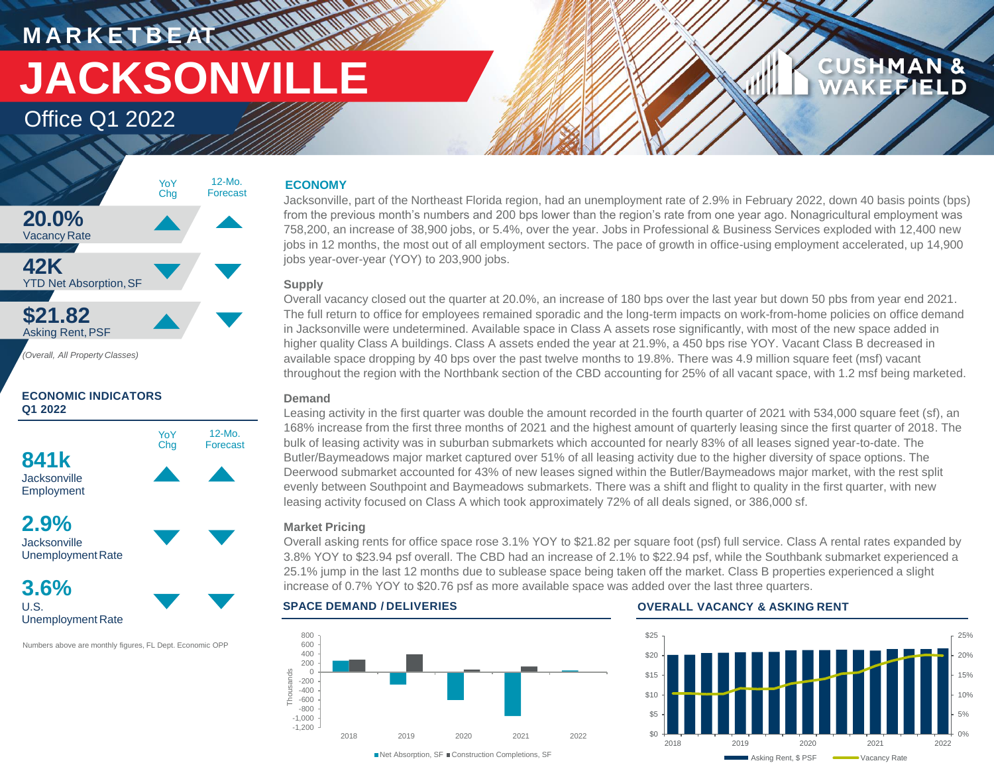# **M A R K E T B E AT JACKSONVILLE**

### Office Q1 2022



**ECONOMIC INDICATORS Q1 2022**

**841k Jacksonville** Employment YoY Chg 12-Mo. Forecast

### **2.9% Jacksonville** UnemploymentRate

**3.6%** U.S.

Unemployment Rate

Numbers above are monthly figures, FL Dept. Economic OPP

### **ECONOMY**

**MANARA** 

Jacksonville, part of the Northeast Florida region, had an unemployment rate of 2.9% in February 2022, down 40 basis points (bps) from the previous month's numbers and 200 bps lower than the region's rate from one year ago. Nonagricultural employment was 758,200, an increase of 38,900 jobs, or 5.4%, over the year. Jobs in Professional & Business Services exploded with 12,400 new jobs in 12 months, the most out of all employment sectors. The pace of growth in office-using employment accelerated, up 14,900 jobs year-over-year (YOY) to 203,900 jobs.

### **Supply**

Overall vacancy closed out the quarter at 20.0%, an increase of 180 bps over the last year but down 50 pbs from year end 2021. The full return to office for employees remained sporadic and the long-term impacts on work-from-home policies on office demand in Jacksonville were undetermined. Available space in Class A assets rose significantly, with most of the new space added in higher quality Class A buildings. Class A assets ended the year at 21.9%, a 450 bps rise YOY. Vacant Class B decreased in available space dropping by 40 bps over the past twelve months to 19.8%. There was 4.9 million square feet (msf) vacant throughout the region with the Northbank section of the CBD accounting for 25% of all vacant space, with 1.2 msf being marketed.

### **Demand**

Leasing activity in the first quarter was double the amount recorded in the fourth quarter of 2021 with 534,000 square feet (sf), an 168% increase from the first three months of 2021 and the highest amount of quarterly leasing since the first quarter of 2018. The bulk of leasing activity was in suburban submarkets which accounted for nearly 83% of all leases signed year-to-date. The Butler/Baymeadows major market captured over 51% of all leasing activity due to the higher diversity of space options. The Deerwood submarket accounted for 43% of new leases signed within the Butler/Baymeadows major market, with the rest split evenly between Southpoint and Baymeadows submarkets. There was a shift and flight to quality in the first quarter, with new leasing activity focused on Class A which took approximately 72% of all deals signed, or 386,000 sf.

### **Market Pricing**

Overall asking rents for office space rose 3.1% YOY to \$21.82 per square foot (psf) full service. Class A rental rates expanded by 3.8% YOY to \$23.94 psf overall. The CBD had an increase of 2.1% to \$22.94 psf, while the Southbank submarket experienced a 25.1% jump in the last 12 months due to sublease space being taken off the market. Class B properties experienced a slight increase of 0.7% YOY to \$20.76 psf as more available space was added over the last three quarters.



#### **SPACE DEMAND / DELIVERIES OVERALL VACANCY & ASKING RENT**



**CUSHMAN &** 

**EFIELD**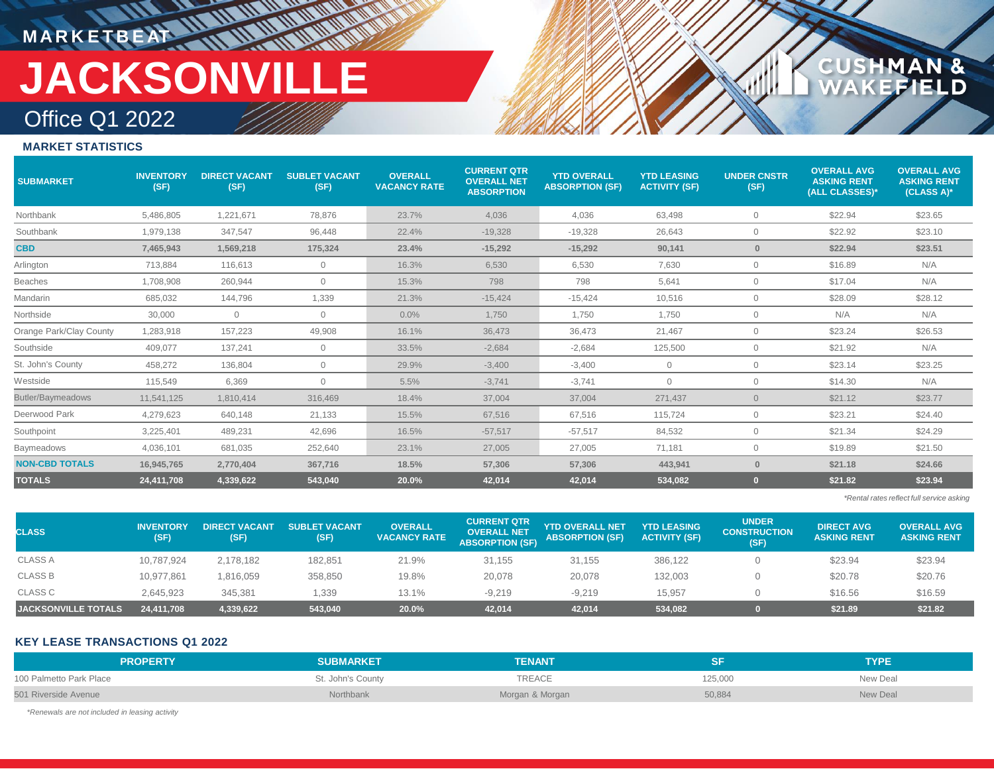### **MARKETBEAT 11 11 11 11 11 11 11 11** Office Q1 2022 **JACKSONVILLE**

## CUSHMAN &<br>WAKEFIELD

### **MARKET STATISTICS**

| <b>SUBMARKET</b>        | <b>INVENTORY</b><br>(SF) | <b>DIRECT VACANT</b><br>(SF) | <b>SUBLET VACANT</b><br>(SF) | <b>OVERALL</b><br><b>VACANCY RATE</b> | <b>CURRENT QTR</b><br><b>OVERALL NET</b><br><b>ABSORPTION</b> | <b>YTD OVERALL</b><br><b>ABSORPTION (SF)</b> | <b>YTD LEASING</b><br><b>ACTIVITY (SF)</b> | <b>UNDER CNSTR</b><br>(SF) | <b>OVERALL AVG</b><br><b>ASKING RENT</b><br>(ALL CLASSES)* | <b>OVERALL AVG</b><br><b>ASKING RENT</b><br>(CLASS A)* |
|-------------------------|--------------------------|------------------------------|------------------------------|---------------------------------------|---------------------------------------------------------------|----------------------------------------------|--------------------------------------------|----------------------------|------------------------------------------------------------|--------------------------------------------------------|
| Northbank               | 5,486,805                | 1,221,671                    | 78,876                       | 23.7%                                 | 4,036                                                         | 4,036                                        | 63,498                                     | 0                          | \$22.94                                                    | \$23.65                                                |
| Southbank               | 1,979,138                | 347,547                      | 96.448                       | 22.4%                                 | $-19.328$                                                     | $-19.328$                                    | 26,643                                     | 0                          | \$22.92                                                    | \$23.10                                                |
| <b>CBD</b>              | 7,465,943                | 1,569,218                    | 175,324                      | 23.4%                                 | $-15,292$                                                     | $-15,292$                                    | 90,141                                     | $\bf{0}$                   | \$22.94                                                    | \$23.51                                                |
| Arlington               | 713,884                  | 116,613                      | $\overline{0}$               | 16.3%                                 | 6,530                                                         | 6,530                                        | 7,630                                      | $\mathbf{0}$               | \$16.89                                                    | N/A                                                    |
| Beaches                 | 1,708,908                | 260,944                      | $\mathbf 0$                  | 15.3%                                 | 798                                                           | 798                                          | 5,641                                      | $\mathbf{0}$               | \$17.04                                                    | N/A                                                    |
| Mandarin                | 685,032                  | 144,796                      | 1,339                        | 21.3%                                 | $-15,424$                                                     | $-15,424$                                    | 10,516                                     | $\circ$                    | \$28.09                                                    | \$28.12                                                |
| Northside               | 30,000                   | $\mathbf{0}$                 | $\mathbf 0$                  | 0.0%                                  | 1,750                                                         | 1,750                                        | 1,750                                      | $\circ$                    | N/A                                                        | N/A                                                    |
| Orange Park/Clay County | 1,283,918                | 157,223                      | 49,908                       | 16.1%                                 | 36,473                                                        | 36,473                                       | 21,467                                     | $\circ$                    | \$23.24                                                    | \$26.53                                                |
| Southside               | 409,077                  | 137,241                      | $\overline{0}$               | 33.5%                                 | $-2,684$                                                      | $-2,684$                                     | 125,500                                    | $\mathbf{0}$               | \$21.92                                                    | N/A                                                    |
| St. John's County       | 458,272                  | 136,804                      | $\mathbf{0}$                 | 29.9%                                 | $-3,400$                                                      | $-3,400$                                     | $\circ$                                    | $\circ$                    | \$23.14                                                    | \$23.25                                                |
| Westside                | 115,549                  | 6,369                        | $\overline{0}$               | 5.5%                                  | $-3,741$                                                      | $-3,741$                                     | $\mathbf{0}$                               | $\circ$                    | \$14.30                                                    | N/A                                                    |
| Butler/Baymeadows       | 11,541,125               | 1,810,414                    | 316,469                      | 18.4%                                 | 37,004                                                        | 37,004                                       | 271,437                                    | $\overline{0}$             | \$21.12                                                    | \$23.77                                                |
| Deerwood Park           | 4,279,623                | 640.148                      | 21,133                       | 15.5%                                 | 67,516                                                        | 67,516                                       | 115,724                                    | 0                          | \$23.21                                                    | \$24.40                                                |
| Southpoint              | 3,225,401                | 489,231                      | 42,696                       | 16.5%                                 | $-57,517$                                                     | $-57,517$                                    | 84,532                                     | 0                          | \$21.34                                                    | \$24.29                                                |
| Baymeadows              | 4.036.101                | 681,035                      | 252,640                      | 23.1%                                 | 27.005                                                        | 27,005                                       | 71,181                                     | $\circ$                    | \$19.89                                                    | \$21.50                                                |
| <b>NON-CBD TOTALS</b>   | 16,945,765               | 2,770,404                    | 367,716                      | 18.5%                                 | 57,306                                                        | 57,306                                       | 443,941                                    | $\bf{0}$                   | \$21.18                                                    | \$24.66                                                |
| <b>TOTALS</b>           | 24,411,708               | 4,339,622                    | 543,040                      | 20.0%                                 | 42,014                                                        | 42,014                                       | 534,082                                    |                            | \$21.82                                                    | \$23.94                                                |

*\*Rental rates reflect full service asking*

| <b>CLASS</b>               | <b>INVENTORY</b><br>(SF) | <b>DIRECT VACANT</b><br>(SF) | <b>SUBLET VACANTA</b><br>(SF) | <b>OVERALL</b><br><b>VACANCY RATE</b> | <b>CURRENT QTR</b><br><b>OVERALL NET</b><br><b>ABSORPTION (SF)</b> | YTD OVERALL NET'<br><b>ABSORPTION (SF)</b> | <b>YTD LEASING</b><br><b>ACTIVITY (SF)</b> | <b>UNDER</b><br><b>CONSTRUCTION</b><br>(SF) | <b>DIRECT AVG</b><br><b>ASKING RENT</b> | <b>OVERALL AVG</b><br><b>ASKING RENT</b> |
|----------------------------|--------------------------|------------------------------|-------------------------------|---------------------------------------|--------------------------------------------------------------------|--------------------------------------------|--------------------------------------------|---------------------------------------------|-----------------------------------------|------------------------------------------|
| <b>CLASS A</b>             | 10,787,924               | 2,178,182                    | 182,851                       | 21.9%                                 | 31,155                                                             | 31,155                                     | 386,122                                    |                                             | \$23.94                                 | \$23.94                                  |
| <b>CLASS B</b>             | 10,977,861               | 816,059                      | 358,850                       | 19.8%                                 | 20,078                                                             | 20,078                                     | 132,003                                    |                                             | \$20.78                                 | \$20.76                                  |
| CLASS C                    | 2,645,923                | 345.381                      | 1,339                         | 13.1%                                 | $-9.219$                                                           | $-9.219$                                   | 15.957                                     |                                             | \$16.56                                 | \$16.59                                  |
| <b>JACKSONVILLE TOTALS</b> | 24,411,708               | 4,339,622                    | 543,040                       | 20.0%                                 | 42,014                                                             | 42,014                                     | 534,082                                    |                                             | \$21.89                                 | \$21.82                                  |

### **KEY LEASE TRANSACTIONS Q1 2022**

| <b>PROPERTY</b>         | <b>SUBMARKET</b>  | <b>TENANT</b>   |         | <b>TYPE</b> |
|-------------------------|-------------------|-----------------|---------|-------------|
| 100 Palmetto Park Place | St. John's County | TREACE          | 125,000 | New Deal    |
| 501 Riverside Avenue    | Northbank         | Morgan & Morgan | 50,884  | New Deal    |

*\*Renewals are not included in leasing activity*